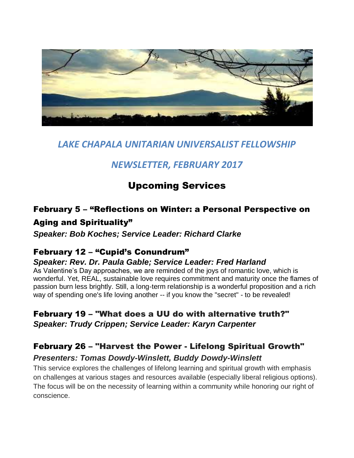

# *LAKE CHAPALA UNITARIAN UNIVERSALIST FELLOWSHIP*

# *NEWSLETTER, FEBRUARY 2017*

# Upcoming Services

# February 5 – "Reflections on Winter: a Personal Perspective on

# Aging and Spirituality"

*Speaker: Bob Koches; Service Leader: Richard Clarke*

## February 12 – "Cupid's Conundrum"

### *Speaker: Rev. Dr. Paula Gable; Service Leader: Fred Harland*

As Valentine's Day approaches, we are reminded of the joys of romantic love, which is wonderful. Yet, REAL, sustainable love requires commitment and maturity once the flames of passion burn less brightly. Still, a long-term relationship is a wonderful proposition and a rich way of spending one's life loving another -- if you know the "secret" - to be revealed!

# February 19 – "What does a UU do with alternative truth?" *Speaker: Trudy Crippen; Service Leader: Karyn Carpenter*

## February 26 – "Harvest the Power - Lifelong Spiritual Growth"

### *Presenters: Tomas Dowdy-Winslett, Buddy Dowdy-Winslett*

This service explores the challenges of lifelong learning and spiritual growth with emphasis on challenges at various stages and resources available (especially liberal religious options). The focus will be on the necessity of learning within a community while honoring our right of conscience.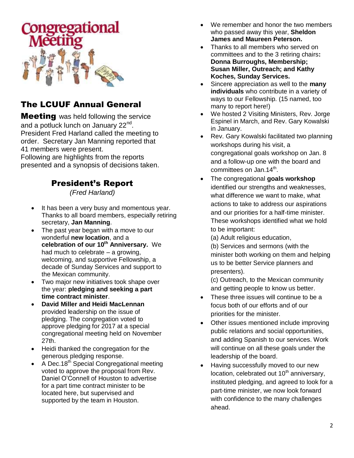

# The LCUUF Annual General

**Meeting** was held following the service and a potluck lunch on January 22<sup>nd</sup>. President Fred Harland called the meeting to order. Secretary Jan Manning reported that 41 members were present.

Following are highlights from the reports presented and a synopsis of decisions taken.

# President's Report

*(Fred Harland)*

- It has been a very busy and momentous year. Thanks to all board members, especially retiring secretary, **Jan Manning**.
- The past year began with a move to our wonderful **new location**, and a **celebration of our 10th Anniversary.** We had much to celebrate – a growing, welcoming, and supportive Fellowship, a decade of Sunday Services and support to the Mexican community.
- Two major new initiatives took shape over the year: **pledging and seeking a part time contract minister**.
- **David Miller and Heidi MacLennan** provided leadership on the issue of pledging. The congregation voted to approve pledging for 2017 at a special congregational meeting held on November 27th.
- Heidi thanked the congregation for the generous pledging response.
- A Dec.18<sup>th</sup> Special Congregational meeting voted to approve the proposal from Rev. Daniel O'Connell of Houston to advertise for a part time contract minister to be located here, but supervised and supported by the team in Houston.
- We remember and honor the two members who passed away this year, **Sheldon James and Maureen Peterson.**
- Thanks to all members who served on committees and to the 3 retiring chairs**: Donna Burroughs, Membership; Susan Miller, Outreach; and Kathy Koches, Sunday Services.**
- Sincere appreciation as well to the **many individuals** who contribute in a variety of ways to our Fellowship. (15 named, too many to report here!)
- We hosted 2 Visiting Ministers, Rev. Jorge Espinel in March, and Rev. Gary Kowalski in January.
- Rev. Gary Kowalski facilitated two planning workshops during his visit, a congregational goals workshop on Jan. 8 and a follow-up one with the board and committees on Jan.14<sup>th</sup>.
- The congregational **goals workshop** identified our strengths and weaknesses, what difference we want to make, what actions to take to address our aspirations and our priorities for a half-time minister. These workshops identified what we hold to be important:
	- (a) Adult religious education,

(b) Services and sermons (with the minister both working on them and helping us to be better Service planners and presenters).

(c) Outreach, to the Mexican community and getting people to know us better.

- These three issues will continue to be a focus both of our efforts and of our priorities for the minister.
- Other issues mentioned include improving public relations and social opportunities, and adding Spanish to our services. Work will continue on all these goals under the leadership of the board.
- Having successfully moved to our new  $location$ , celebrated out  $10<sup>th</sup>$  anniversary, instituted pledging, and agreed to look for a part-time minister, we now look forward with confidence to the many challenges ahead.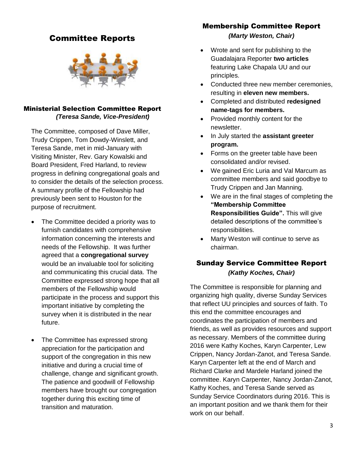### Committee Reports



#### Ministerial Selection Committee Report *(Teresa Sande, Vice-President)*

The Committee, composed of Dave Miller, Trudy Crippen, Tom Dowdy-Winslett, and Teresa Sande, met in mid-January with Visiting Minister, Rev. Gary Kowalski and Board President, Fred Harland, to review progress in defining congregational goals and to consider the details of the selection process. A summary profile of the Fellowship had previously been sent to Houston for the purpose of recruitment.

- The Committee decided a priority was to furnish candidates with comprehensive information concerning the interests and needs of the Fellowship. It was further agreed that a **congregational survey** would be an invaluable tool for soliciting and communicating this crucial data. The Committee expressed strong hope that all members of the Fellowship would participate in the process and support this important initiative by completing the survey when it is distributed in the near future.
- The Committee has expressed strong appreciation for the participation and support of the congregation in this new initiative and during a crucial time of challenge, change and significant growth. The patience and goodwill of Fellowship members have brought our congregation together during this exciting time of transition and maturation.

### Membership Committee Report

*(Marty Weston, Chair)*

- Wrote and sent for publishing to the Guadalajara Reporter **two articles** featuring Lake Chapala UU and our principles.
- Conducted three new member ceremonies, resulting in **eleven new members.**
- Completed and distributed **redesigned name-tags for members.**
- Provided monthly content for the newsletter.
- In July started the **assistant greeter program.**
- Forms on the greeter table have been consolidated and/or revised.
- We gained Eric Luria and Val Marcum as committee members and said goodbye to Trudy Crippen and Jan Manning.
- We are in the final stages of completing the **"Membership Committee Responsibilities Guide".** This will give detailed descriptions of the committee's responsibilities.
- Marty Weston will continue to serve as chairman.

### Sunday Service Committee Report *(Kathy Koches, Chair)*

The Committee is responsible for planning and organizing high quality, diverse Sunday Services that reflect UU principles and sources of faith. To this end the committee encourages and coordinates the participation of members and friends, as well as provides resources and support as necessary. Members of the committee during 2016 were Kathy Koches, Karyn Carpenter, Lew Crippen, Nancy Jordan-Zanot, and Teresa Sande. Karyn Carpenter left at the end of March and Richard Clarke and Mardele Harland joined the committee. Karyn Carpenter, Nancy Jordan-Zanot, Kathy Koches, and Teresa Sande served as Sunday Service Coordinators during 2016. This is an important position and we thank them for their work on our behalf.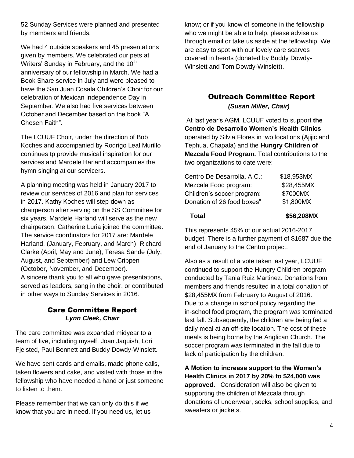52 Sunday Services were planned and presented by members and friends.

We had 4 outside speakers and 45 presentations given by members. We celebrated our pets at Writers' Sunday in February, and the 10<sup>th</sup> anniversary of our fellowship in March. We had a Book Share service in July and were pleased to have the San Juan Cosala Children's Choir for our celebration of Mexican Independence Day in September. We also had five services between October and December based on the book "A Chosen Faith".

The LCUUF Choir, under the direction of Bob Koches and accompanied by Rodrigo Leal Murillo continues tp provide musical inspiration for our services and Mardele Harland accompanies the hymn singing at our servicers.

A planning meeting was held in January 2017 to review our services of 2016 and plan for services in 2017. Kathy Koches will step down as chairperson after serving on the SS Committee for six years. Mardele Harland will serve as the new chairperson. Catherine Luria joined the committee. The service coordinators for 2017 are: Mardele Harland, (January, February, and March), Richard Clarke (April, May and June), Teresa Sande (July, August, and September) and Lew Crippen (October, November, and December). A sincere thank you to all who gave presentations, served as leaders, sang in the choir, or contributed in other ways to Sunday Services in 2016.

#### Care Committee Report *Lynn Cleek, Chair*

The care committee was expanded midyear to a team of five, including myself, Joan Jaquish, Lori Fjelsted, Paul Bennett and Buddy Dowdy-Winslett.

We have sent cards and emails, made phone calls, taken flowers and cake, and visited with those in the fellowship who have needed a hand or just someone to listen to them.

Please remember that we can only do this if we know that you are in need. If you need us, let us

know; or if you know of someone in the fellowship who we might be able to help, please advise us through email or take us aside at the fellowship. We are easy to spot with our lovely care scarves covered in hearts (donated by Buddy Dowdy-Winslett and Tom Dowdy-Winslett).

### Outreach Committee Report *(Susan Miller, Chair)*

At last year's AGM, LCUUF voted to support **the Centro de Desarrollo Women's Health Clinics**  operated by Silvia Flores in two locations (Ajijic and Tephua, Chapala) and the **Hungry Children of Mezcala Food Program.** Total contributions to the two organizations to date were:

| \$56,208MX |
|------------|
| \$1,800MX  |
| \$7000MX   |
| \$28,455MX |
| \$18,953MX |
|            |

This represents 45% of our actual 2016-2017 budget. There is a further payment of \$1687 due the end of January to the Centro project.

Also as a result of a vote taken last year, LCUUF continued to support the Hungry Children program conducted by Tania Ruiz Martinez. Donations from members and friends resulted in a total donation of \$28,455MX from February to August of 2016. Due to a change in school policy regarding the in-school food program, the program was terminated last fall. Subsequently, the children are being fed a daily meal at an off-site location. The cost of these meals is being borne by the Anglican Church. The soccer program was terminated in the fall due to lack of participation by the children.

**A Motion to increase support to the Women's Health Clinics in 2017 by 20% to \$24,000 was approved.** Consideration will also be given to supporting the children of Mezcala through donations of underwear, socks, school supplies, and sweaters or jackets.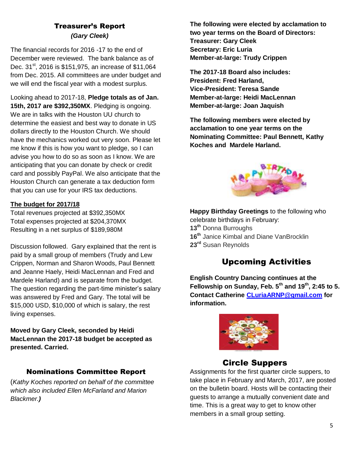### Treasurer's Report *(Gary Cleek)*

The financial records for 2016 -17 to the end of December were reviewed. The bank balance as of Dec. 31<sup>st</sup>, 2016 is \$151,975, an increase of \$11,064 from Dec. 2015. All committees are under budget and we will end the fiscal year with a modest surplus.

 Looking ahead to 2017-18, **Pledge totals as of Jan. 15th, 2017 are \$392,350MX**. Pledging is ongoing. We are in talks with the Houston UU church to determine the easiest and best way to donate in US dollars directly to the Houston Church. We should have the mechanics worked out very soon. Please let me know if this is how you want to pledge, so I can advise you how to do so as soon as I know. We are anticipating that you can donate by check or credit card and possibly PayPal. We also anticipate that the Houston Church can generate a tax deduction form that you can use for your IRS tax deductions.

#### **The budget for 2017/18**

Total revenues projected at \$392,350MX Total expenses projected at \$204,370MX Resulting in a net surplus of \$189,980M

Discussion followed. Gary explained that the rent is paid by a small group of members (Trudy and Lew Crippen, Norman and Sharon Woods, Paul Bennett and Jeanne Haely, Heidi MacLennan and Fred and Mardele Harland) and is separate from the budget. The question regarding the part-time minister's salary was answered by Fred and Gary. The total will be \$15,000 USD, \$10,000 of which is salary, the rest living expenses.

**Moved by Gary Cleek, seconded by Heidi MacLennan the 2017-18 budget be accepted as presented. Carried.**

#### Nominations Committee Report

(*Kathy Koches reported on behalf of the committee which also included Ellen McFarland and Marion Blackmer.)* 

**The following were elected by acclamation to two year terms on the Board of Directors: Treasurer: Gary Cleek Secretary: Eric Luria Member-at-large: Trudy Crippen**

**The 2017-18 Board also includes: President: Fred Harland, Vice-President: Teresa Sande Member-at-large: Heidi MacLennan Member-at-large: Joan Jaquish** 

**The following members were elected by acclamation to one year terms on the Nominating Committee: Paul Bennett, Kathy Koches and Mardele Harland.**



**Happy Birthday Greetings** to the following who celebrate birthdays in February: **13th** Donna Burroughs **16th** Janice Kimbal and Diane VanBrocklin **23rd** Susan Reynolds

## Upcoming Activities

**English Country Dancing continues at the Fellowship on Sunday, Feb. 5th and 19th, 2:45 to 5. Contact Catherine [CLuriaARNP@gmail.com](mailto:CLuriaARNP@gmail.com) for information.**



### Circle Suppers

Assignments for the first quarter circle suppers, to take place in February and March, 2017, are posted on the bulletin board. Hosts will be contacting their guests to arrange a mutually convenient date and time. This is a great way to get to know other members in a small group setting.